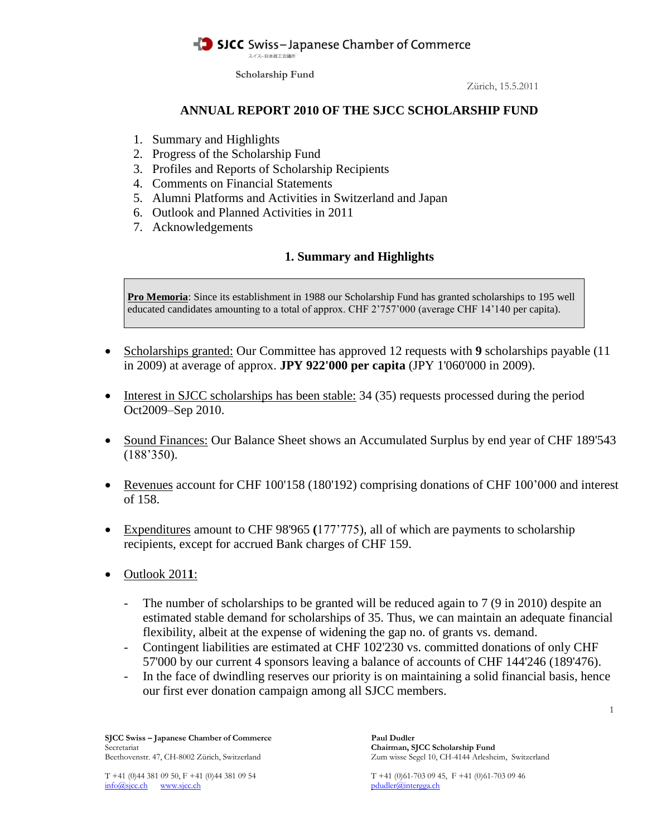スイスー日本商工会議所

**Scholarship Fund**

Zürich, 15.5.2011

### **ANNUAL REPORT 2010 OF THE SJCC SCHOLARSHIP FUND**

- 1. Summary and Highlights
- 2. Progress of the Scholarship Fund
- 3. Profiles and Reports of Scholarship Recipients
- 4. Comments on Financial Statements
- 5. Alumni Platforms and Activities in Switzerland and Japan
- 6. Outlook and Planned Activities in 2011
- 7. Acknowledgements

## **1. Summary and Highlights**

**Pro Memoria**: Since its establishment in 1988 our Scholarship Fund has granted scholarships to 195 well educated candidates amounting to a total of approx. CHF 2'757'000 (average CHF 14'140 per capita).

- Scholarships granted: Our Committee has approved 12 requests with **9** scholarships payable (11) in 2009) at average of approx. **JPY 922'000 per capita** (JPY 1'060'000 in 2009).
- Interest in SJCC scholarships has been stable: 34 (35) requests processed during the period Oct2009–Sep 2010.
- Sound Finances: Our Balance Sheet shows an Accumulated Surplus by end year of CHF 189'543 (188'350).
- Revenues account for CHF 100'158 (180'192) comprising donations of CHF 100'000 and interest of 158.
- Expenditures amount to CHF 98'965 **(**177'775), all of which are payments to scholarship recipients, except for accrued Bank charges of CHF 159.
- Outlook 201**1**:
	- The number of scholarships to be granted will be reduced again to 7 (9 in 2010) despite an estimated stable demand for scholarships of 35. Thus, we can maintain an adequate financial flexibility, albeit at the expense of widening the gap no. of grants vs. demand.
	- Contingent liabilities are estimated at CHF 102'230 vs. committed donations of only CHF 57'000 by our current 4 sponsors leaving a balance of accounts of CHF 144'246 (189'476).
	- In the face of dwindling reserves our priority is on maintaining a solid financial basis, hence our first ever donation campaign among all SJCC members.

**SJCC Swiss – Japanese Chamber of Commerce Paul Dudler** Secretariat **Chairman, SJCC Scholarship Fund** Beethovenstr. 47, CH-8002 Zürich, Switzerland Zum wisse Segel 10, CH-4144 Arlesheim, Switzerland

info@sjcc.ch www.sjcc.ch pdudler@intergga.ch pdudler@intergga.ch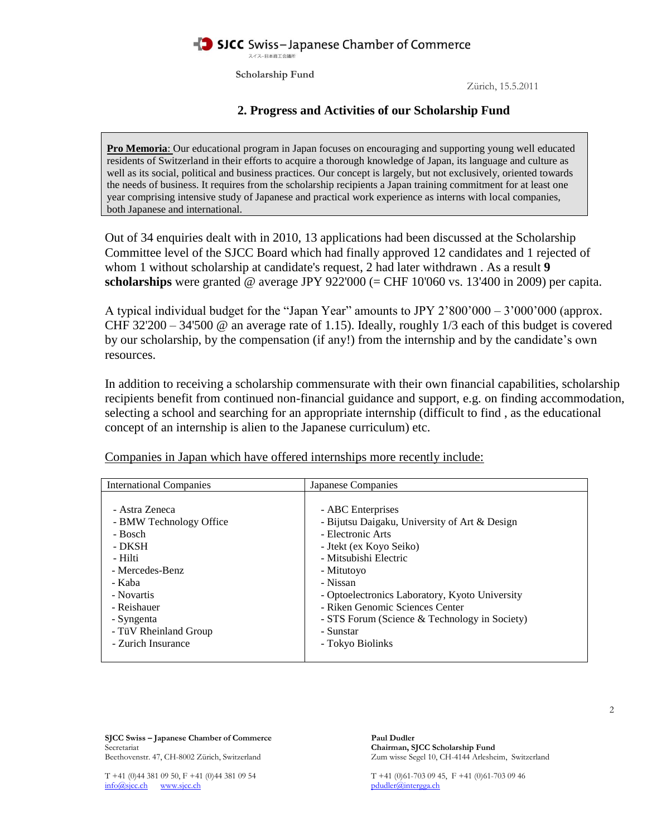スイスー日本商工会議所

**Scholarship Fund**

Zürich, 15.5.2011

## **2. Progress and Activities of our Scholarship Fund**

**Pro Memoria**: Our educational program in Japan focuses on encouraging and supporting young well educated residents of Switzerland in their efforts to acquire a thorough knowledge of Japan, its language and culture as well as its social, political and business practices. Our concept is largely, but not exclusively, oriented towards the needs of business. It requires from the scholarship recipients a Japan training commitment for at least one year comprising intensive study of Japanese and practical work experience as interns with local companies, both Japanese and international.

Out of 34 enquiries dealt with in 2010, 13 applications had been discussed at the Scholarship Committee level of the SJCC Board which had finally approved 12 candidates and 1 rejected of whom 1 without scholarship at candidate's request, 2 had later withdrawn . As a result **9 scholarships** were granted @ average JPY 922'000 (= CHF 10'060 vs. 13'400 in 2009) per capita.

A typical individual budget for the "Japan Year" amounts to JPY 2'800'000 – 3'000'000 (approx. CHF 32'200 – 34'500 @ an average rate of 1.15). Ideally, roughly 1/3 each of this budget is covered by our scholarship, by the compensation (if any!) from the internship and by the candidate's own resources.

In addition to receiving a scholarship commensurate with their own financial capabilities, scholarship recipients benefit from continued non-financial guidance and support, e.g. on finding accommodation, selecting a school and searching for an appropriate internship (difficult to find , as the educational concept of an internship is alien to the Japanese curriculum) etc.

| <b>International Companies</b>                       | Japanese Companies                                                                      |  |
|------------------------------------------------------|-----------------------------------------------------------------------------------------|--|
| - Astra Zeneca<br>- BMW Technology Office<br>- Bosch | - ABC Enterprises<br>- Bijutsu Daigaku, University of Art & Design<br>- Electronic Arts |  |
| - DKSH                                               | - Jtekt (ex Koyo Seiko)                                                                 |  |
| - Hilti<br>- Mercedes-Benz                           | - Mitsubishi Electric<br>- Mitutoyo                                                     |  |
| - Kaba                                               | - Nissan                                                                                |  |
| - Novartis                                           | - Optoelectronics Laboratory, Kyoto University                                          |  |
| - Reishauer                                          | - Riken Genomic Sciences Center                                                         |  |
| - Syngenta                                           | - STS Forum (Science & Technology in Society)                                           |  |
| - TüV Rheinland Group<br>- Zurich Insurance          | - Sunstar<br>- Tokyo Biolinks                                                           |  |
|                                                      |                                                                                         |  |

Companies in Japan which have offered internships more recently include:

**SJCC Swiss – Japanese Chamber of Commerce Paul Dudler** Secretariat **Chairman, SJCC Scholarship Fund**

Beethovenstr. 47, CH-8002 Zürich, Switzerland Zum wisse Segel 10, CH-4144 Arlesheim, Switzerland

info@sjcc.ch www.sjcc.ch pdudler@intergga.ch pdudler@intergga.ch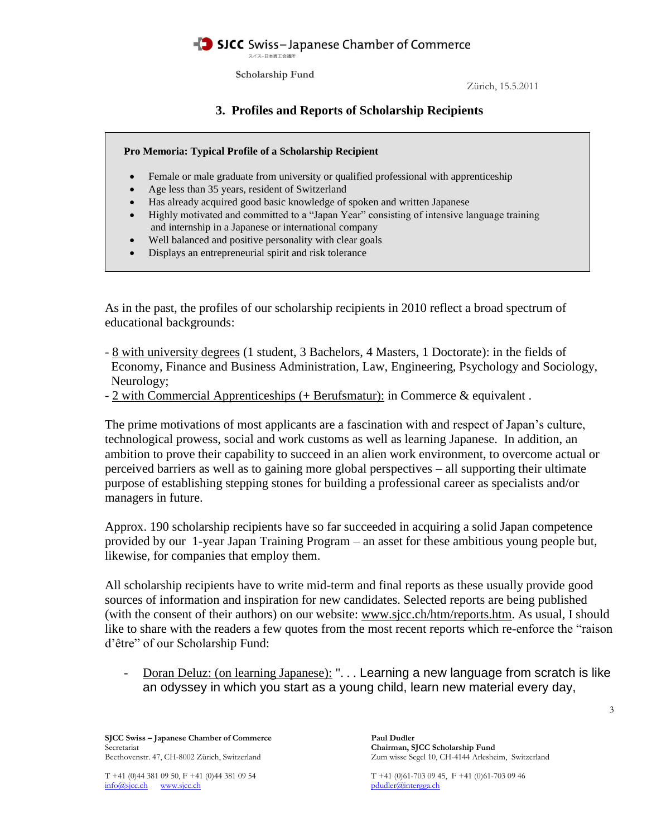スイスー日本商工会議所

**Scholarship Fund**

Zürich, 15.5.2011

# **3. Profiles and Reports of Scholarship Recipients**



- Female or male graduate from university or qualified professional with apprenticeship
- Age less than 35 years, resident of Switzerland
- Has already acquired good basic knowledge of spoken and written Japanese
- Highly motivated and committed to a "Japan Year" consisting of intensive language training and internship in a Japanese or international company
- Well balanced and positive personality with clear goals
- Displays an entrepreneurial spirit and risk tolerance

As in the past, the profiles of our scholarship recipients in 2010 reflect a broad spectrum of educational backgrounds:

- 8 with university degrees (1 student, 3 Bachelors, 4 Masters, 1 Doctorate): in the fields of Economy, Finance and Business Administration, Law, Engineering, Psychology and Sociology, Neurology;
- 2 with Commercial Apprenticeships (+ Berufsmatur): in Commerce & equivalent .

The prime motivations of most applicants are a fascination with and respect of Japan's culture, technological prowess, social and work customs as well as learning Japanese. In addition, an ambition to prove their capability to succeed in an alien work environment, to overcome actual or perceived barriers as well as to gaining more global perspectives – all supporting their ultimate purpose of establishing stepping stones for building a professional career as specialists and/or managers in future.

Approx. 190 scholarship recipients have so far succeeded in acquiring a solid Japan competence provided by our 1-year Japan Training Program – an asset for these ambitious young people but, likewise, for companies that employ them.

All scholarship recipients have to write mid-term and final reports as these usually provide good sources of information and inspiration for new candidates. Selected reports are being published (with the consent of their authors) on our website: [www.sjcc.ch/htm/reports.htm.](http://www.sjcc.ch/htm/reports.htm) As usual, I should like to share with the readers a few quotes from the most recent reports which re-enforce the "raison d'être" of our Scholarship Fund:

- Doran Deluz: (on learning Japanese): ". . . Learning a new language from scratch is like an odyssey in which you start as a young child, learn new material every day,

Chairman, SJCC Scholarship Fund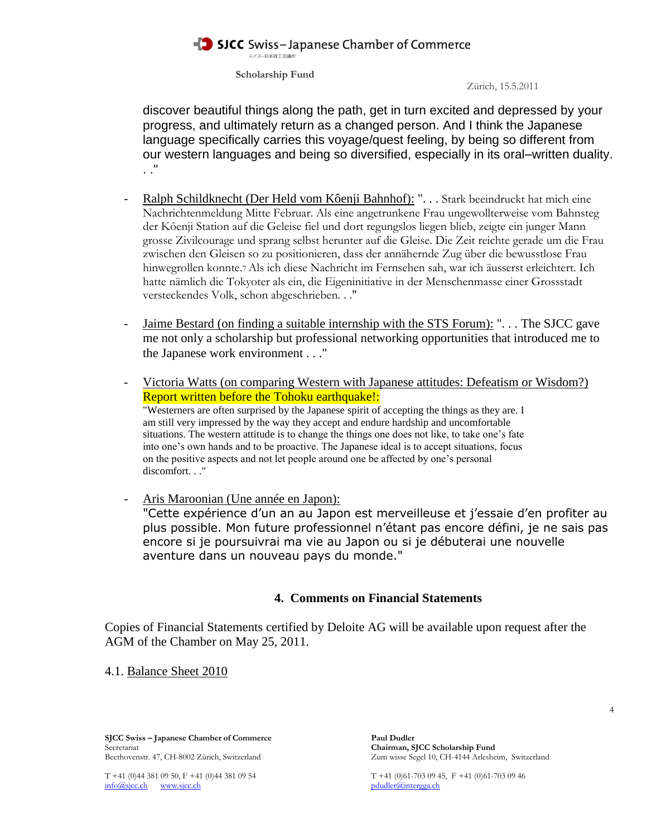スイスー日本商工会議所

**Scholarship Fund**

Zürich, 15.5.2011

discover beautiful things along the path, get in turn excited and depressed by your progress, and ultimately return as a changed person. And I think the Japanese language specifically carries this voyage/quest feeling, by being so different from our western languages and being so diversified, especially in its oral–written duality. . ."

- Ralph Schildknecht (Der Held vom Kôenji Bahnhof): ". . . Stark beeindruckt hat mich eine Nachrichtenmeldung Mitte Februar. Als eine angetrunkene Frau ungewollterweise vom Bahnsteg der Kôenji Station auf die Geleise fiel und dort regungslos liegen blieb, zeigte ein junger Mann grosse Zivilcourage und sprang selbst herunter auf die Gleise. Die Zeit reichte gerade um die Frau zwischen den Gleisen so zu positionieren, dass der annähernde Zug über die bewusstlose Frau hinwegrollen konnte.7 Als ich diese Nachricht im Fernsehen sah, war ich äusserst erleichtert. Ich hatte nämlich die Tokyoter als ein, die Eigeninitiative in der Menschenmasse einer Grossstadt versteckendes Volk, schon abgeschrieben. . ."
- Jaime Bestard (on finding a suitable internship with the STS Forum): "... The SJCC gave me not only a scholarship but professional networking opportunities that introduced me to the Japanese work environment . . ."
- Victoria Watts (on comparing Western with Japanese attitudes: Defeatism or Wisdom?) Report written before the Tohoku earthquake!: "Westerners are often surprised by the Japanese spirit of accepting the things as they are. I am still very impressed by the way they accept and endure hardship and uncomfortable situations. The western attitude is to change the things one does not like, to take one's fate into one's own hands and to be proactive. The Japanese ideal is to accept situations, focus on the positive aspects and not let people around one be affected by one's personal discomfort..."
- Aris Maroonian (Une année en Japon): "Cette expérience d'un an au Japon est merveilleuse et j'essaie d'en profiter au plus possible. Mon future professionnel n'étant pas encore défini, je ne sais pas encore si je poursuivrai ma vie au Japon ou si je débuterai une nouvelle aventure dans un nouveau pays du monde."

### **4. Comments on Financial Statements**

Copies of Financial Statements certified by Deloite AG will be available upon request after the AGM of the Chamber on May 25, 2011.

4.1. Balance Sheet 2010

**SJCC Swiss – Japanese Chamber of Commerce Paul Dudler** Secretariat **Chairman, SJCC Scholarship Fund**

Beethovenstr. 47, CH-8002 Zürich, Switzerland Zum wisse Segel 10, CH-4144 Arlesheim, Switzerland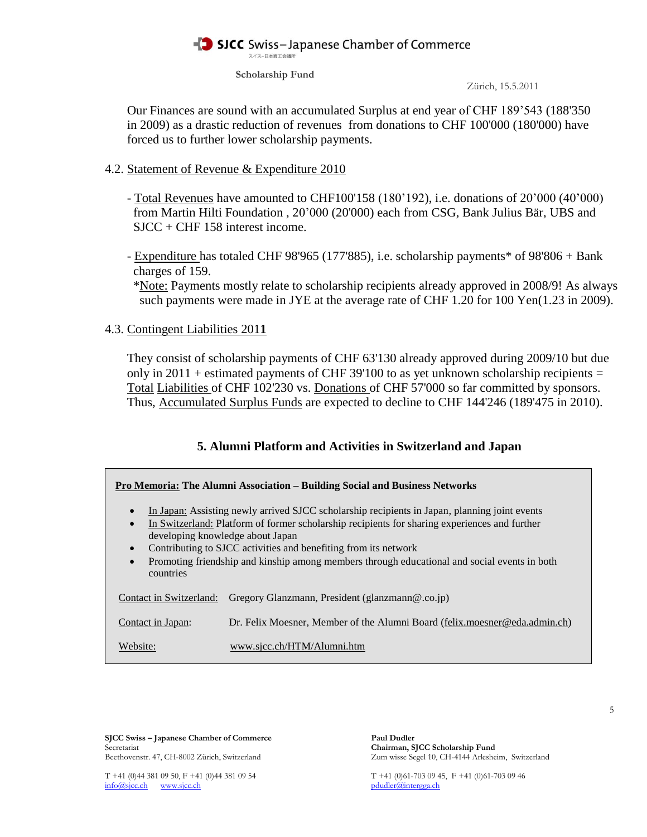スイスー日本商工会議所

**Scholarship Fund**

Zürich, 15.5.2011

 Our Finances are sound with an accumulated Surplus at end year of CHF 189'543 (188'350 in 2009) as a drastic reduction of revenues from donations to CHF 100'000 (180'000) have forced us to further lower scholarship payments.

#### 4.2. Statement of Revenue & Expenditure 2010

- Total Revenues have amounted to CHF100'158 (180'192), i.e. donations of 20'000 (40'000) from Martin Hilti Foundation , 20'000 (20'000) each from CSG, Bank Julius Bär, UBS and SJCC + CHF 158 interest income.

- Expenditure has totaled CHF 98'965 (177'885), i.e. scholarship payments\* of 98'806 + Bank charges of 159.

 \*Note: Payments mostly relate to scholarship recipients already approved in 2008/9! As always such payments were made in JYE at the average rate of CHF 1.20 for 100 Yen(1.23 in 2009).

#### 4.3. Contingent Liabilities 201**1**

 They consist of scholarship payments of CHF 63'130 already approved during 2009/10 but due only in  $2011$  + estimated payments of CHF 39'100 to as yet unknown scholarship recipients = Total Liabilities of CHF 102'230 vs. Donations of CHF 57'000 so far committed by sponsors. Thus, Accumulated Surplus Funds are expected to decline to CHF 144'246 (189'475 in 2010).

### **5. Alumni Platform and Activities in Switzerland and Japan**

| Pro Memoria: The Alumni Association – Building Social and Business Networks                                                                                                                                                                                                                                                                                                                                                                                            |                                                                            |  |
|------------------------------------------------------------------------------------------------------------------------------------------------------------------------------------------------------------------------------------------------------------------------------------------------------------------------------------------------------------------------------------------------------------------------------------------------------------------------|----------------------------------------------------------------------------|--|
| In Japan: Assisting newly arrived SJCC scholarship recipients in Japan, planning joint events<br>$\bullet$<br>In Switzerland: Platform of former scholarship recipients for sharing experiences and further<br>$\bullet$<br>developing knowledge about Japan<br>Contributing to SJCC activities and benefiting from its network<br>$\bullet$<br>Promoting friendship and kinship among members through educational and social events in both<br>$\bullet$<br>countries |                                                                            |  |
| Contact in Switzerland:                                                                                                                                                                                                                                                                                                                                                                                                                                                | Gregory Glanzmann, President (glanzmann@.co.jp)                            |  |
| Contact in Japan:                                                                                                                                                                                                                                                                                                                                                                                                                                                      | Dr. Felix Moesner, Member of the Alumni Board (felix moesner@eda.admin.ch) |  |
| Website:                                                                                                                                                                                                                                                                                                                                                                                                                                                               | www.sicc.ch/HTM/Alumni.htm                                                 |  |

**SJCC Swiss – Japanese Chamber of Commerce Paul Dudler**<br>Secretariat Chairman, S Beethovenstr. 47, CH-8002 Zürich, Switzerland Zum wisse Segel 10, CH-4144 Arlesheim, Switzerland

Chairman, SJCC Scholarship Fund

info@sjcc.ch www.sjcc.ch pdudler@intergga.ch pdudler@intergga.ch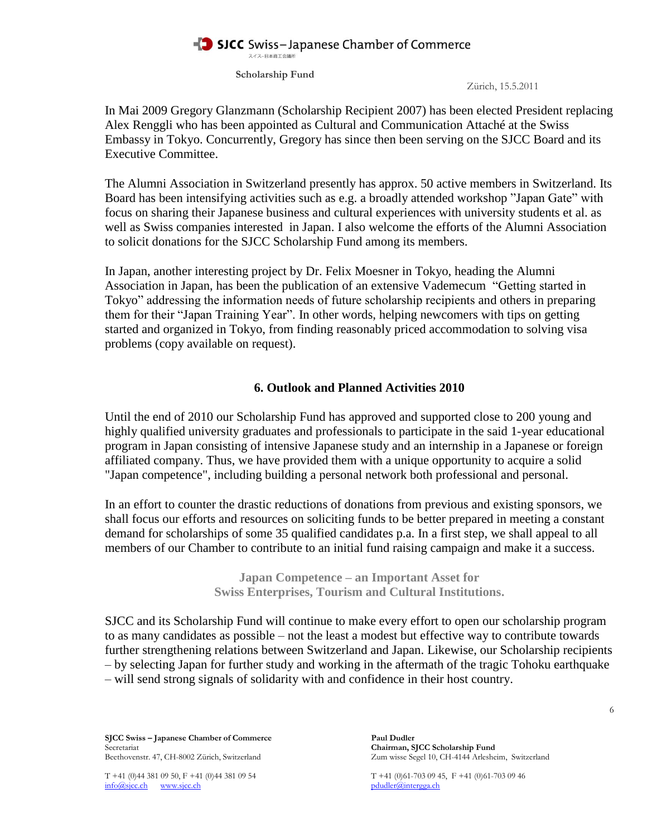スイスー日本商工会議所

**Scholarship Fund**

Zürich, 15.5.2011

In Mai 2009 Gregory Glanzmann (Scholarship Recipient 2007) has been elected President replacing Alex Renggli who has been appointed as Cultural and Communication Attaché at the Swiss Embassy in Tokyo. Concurrently, Gregory has since then been serving on the SJCC Board and its Executive Committee.

The Alumni Association in Switzerland presently has approx. 50 active members in Switzerland. Its Board has been intensifying activities such as e.g. a broadly attended workshop "Japan Gate" with focus on sharing their Japanese business and cultural experiences with university students et al. as well as Swiss companies interested in Japan. I also welcome the efforts of the Alumni Association to solicit donations for the SJCC Scholarship Fund among its members.

In Japan, another interesting project by Dr. Felix Moesner in Tokyo, heading the Alumni Association in Japan, has been the publication of an extensive Vademecum "Getting started in Tokyo" addressing the information needs of future scholarship recipients and others in preparing them for their "Japan Training Year". In other words, helping newcomers with tips on getting started and organized in Tokyo, from finding reasonably priced accommodation to solving visa problems (copy available on request).

### **6. Outlook and Planned Activities 2010**

Until the end of 2010 our Scholarship Fund has approved and supported close to 200 young and highly qualified university graduates and professionals to participate in the said 1-year educational program in Japan consisting of intensive Japanese study and an internship in a Japanese or foreign affiliated company. Thus, we have provided them with a unique opportunity to acquire a solid "Japan competence", including building a personal network both professional and personal.

In an effort to counter the drastic reductions of donations from previous and existing sponsors, we shall focus our efforts and resources on soliciting funds to be better prepared in meeting a constant demand for scholarships of some 35 qualified candidates p.a. In a first step, we shall appeal to all members of our Chamber to contribute to an initial fund raising campaign and make it a success.

> **Japan Competence – an Important Asset for Swiss Enterprises, Tourism and Cultural Institutions.**

SJCC and its Scholarship Fund will continue to make every effort to open our scholarship program to as many candidates as possible – not the least a modest but effective way to contribute towards further strengthening relations between Switzerland and Japan. Likewise, our Scholarship recipients – by selecting Japan for further study and working in the aftermath of the tragic Tohoku earthquake – will send strong signals of solidarity with and confidence in their host country.

**SJCC Swiss – Japanese Chamber of Commerce** Paul Dudler<br>Secretariat Chairman. S Secretariat **Chairman, SJCC Scholarship Fund**<br>Beethovenstr. 47, CH-8002 Zürich, Switzerland *Zum wisse Segel 10, CH-4144 Arleshe* 

Zum wisse Segel 10, CH-4144 Arlesheim, Switzerland